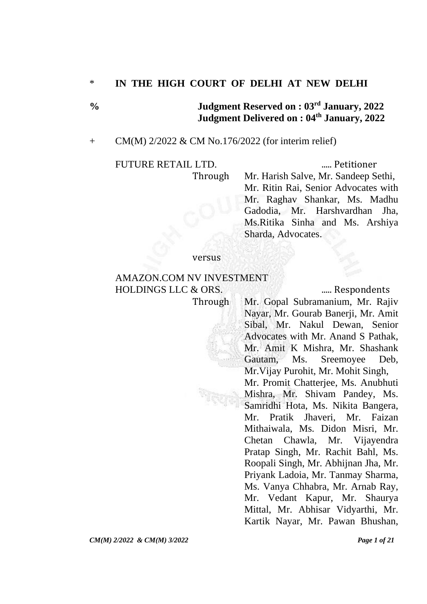# \* **IN THE HIGH COURT OF DELHI AT NEW DELHI**

**% Judgment Reserved on : 03rd January, 2022 Judgment Delivered on : 04th January, 2022**

## + CM(M) 2/2022 & CM No.176/2022 (for interim relief)

#### FUTURE RETAIL LTD. ..... Petitioner

Through Mr. Harish Salve, Mr. Sandeep Sethi, Mr. Ritin Rai, Senior Advocates with Mr. Raghav Shankar, Ms. Madhu Gadodia, Mr. Harshvardhan Jha, Ms.Ritika Sinha and Ms. Arshiya Sharda, Advocates.

#### versus

## AMAZON.COM NV INVESTMENT HOLDINGS LLC & ORS. ........ Respondents

Through Mr. Gopal Subramanium, Mr. Rajiv Nayar, Mr. Gourab Banerii, Mr. Amit Sibal, Mr. Nakul Dewan, Senior Advocates with Mr. Anand S Pathak, Mr. Amit K Mishra, Mr. Shashank Gautam, Ms. Sreemoyee Deb, Mr.Vijay Purohit, Mr. Mohit Singh, Mr. Promit Chatterjee, Ms. Anubhuti Mishra, Mr. Shivam Pandey, Ms. Samridhi Hota, Ms. Nikita Bangera, Mr. Pratik Jhaveri, Mr. Faizan Mithaiwala, Ms. Didon Misri, Mr. Chetan Chawla, Mr. Vijayendra Pratap Singh, Mr. Rachit Bahl, Ms. Roopali Singh, Mr. Abhijnan Jha, Mr. Priyank Ladoia, Mr. Tanmay Sharma, Ms. Vanya Chhabra, Mr. Arnab Ray, Mr. Vedant Kapur, Mr. Shaurya Mittal, Mr. Abhisar Vidyarthi, Mr. Kartik Nayar, Mr. Pawan Bhushan,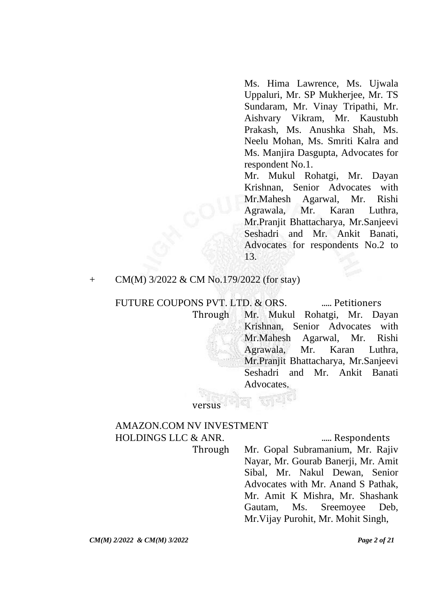Ms. Hima Lawrence, Ms. Ujwala Uppaluri, Mr. SP Mukherjee, Mr. TS Sundaram, Mr. Vinay Tripathi, Mr. Aishvary Vikram, Mr. Kaustubh Prakash, Ms. Anushka Shah, Ms. Neelu Mohan, Ms. Smriti Kalra and Ms. Manjira Dasgupta, Advocates for respondent No.1.

Mr. Mukul Rohatgi, Mr. Dayan Krishnan, Senior Advocates with Mr.Mahesh Agarwal, Mr. Rishi Agrawala, Mr. Karan Luthra, Mr.Pranjit Bhattacharya, Mr.Sanjeevi Seshadri and Mr. Ankit Banati, Advocates for respondents No.2 to 13.

#### + CM(M) 3/2022 & CM No.179/2022 (for stay)

FUTURE COUPONS PVT. LTD. & ORS. ....... Petitioners Through Mr. Mukul Rohatgi, Mr. Dayan Krishnan, Senior Advocates with Mr.Mahesh Agarwal, Mr. Rishi Agrawala, Mr. Karan Luthra, Mr.Pranjit Bhattacharya, Mr.Sanjeevi Seshadri and Mr. Ankit Banati Advocates.

# AMAZON.COM NV INVESTMENT HOLDINGS LLC & ANR. ..... Respondents

versus

Through Mr. Gopal Subramanium, Mr. Rajiv Nayar, Mr. Gourab Banerji, Mr. Amit Sibal, Mr. Nakul Dewan, Senior Advocates with Mr. Anand S Pathak, Mr. Amit K Mishra, Mr. Shashank Gautam, Ms. Sreemoyee Deb, Mr.Vijay Purohit, Mr. Mohit Singh,

*CM(M) 2/2022 & CM(M) 3/2022 Page 2 of 21*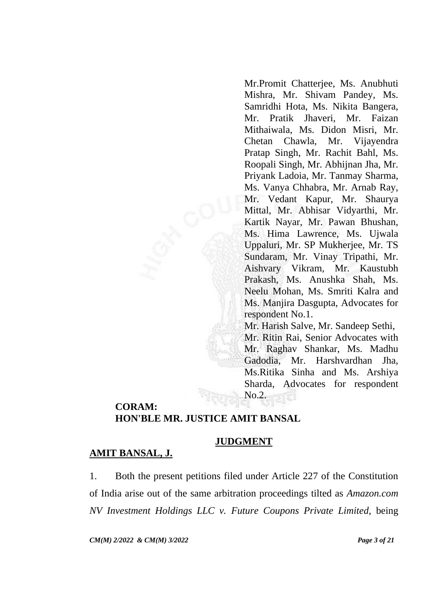Mr.Promit Chatterjee, Ms. Anubhuti Mishra, Mr. Shivam Pandey, Ms. Samridhi Hota, Ms. Nikita Bangera, Mr. Pratik Jhaveri, Mr. Faizan Mithaiwala, Ms. Didon Misri, Mr. Chetan Chawla, Mr. Vijayendra Pratap Singh, Mr. Rachit Bahl, Ms. Roopali Singh, Mr. Abhijnan Jha, Mr. Priyank Ladoia, Mr. Tanmay Sharma, Ms. Vanya Chhabra, Mr. Arnab Ray, Mr. Vedant Kapur, Mr. Shaurya Mittal, Mr. Abhisar Vidyarthi, Mr. Kartik Nayar, Mr. Pawan Bhushan, Ms. Hima Lawrence, Ms. Ujwala Uppaluri, Mr. SP Mukherjee, Mr. TS Sundaram, Mr. Vinay Tripathi, Mr. Aishvary Vikram, Mr. Kaustubh Prakash, Ms. Anushka Shah, Ms. Neelu Mohan, Ms. Smriti Kalra and Ms. Manjira Dasgupta, Advocates for respondent No.1.

Mr. Harish Salve, Mr. Sandeep Sethi, Mr. Ritin Rai, Senior Advocates with Mr. Raghav Shankar, Ms. Madhu Gadodia, Mr. Harshvardhan Jha, Ms.Ritika Sinha and Ms. Arshiya Sharda, Advocates for respondent No.2.

## **CORAM: HON'BLE MR. JUSTICE AMIT BANSAL**

# **JUDGMENT**

# **AMIT BANSAL, J.**

1. Both the present petitions filed under Article 227 of the Constitution of India arise out of the same arbitration proceedings tilted as *Amazon.com NV Investment Holdings LLC v. Future Coupons Private Limited*, being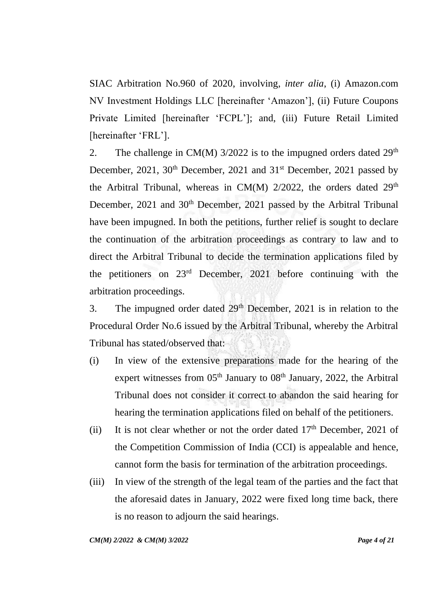SIAC Arbitration No.960 of 2020, involving, *inter alia*, (i) Amazon.com NV Investment Holdings LLC [hereinafter 'Amazon'], (ii) Future Coupons Private Limited [hereinafter 'FCPL']; and, (iii) Future Retail Limited [hereinafter 'FRL'].

2. The challenge in CM(M)  $3/2022$  is to the impugned orders dated  $29<sup>th</sup>$ December, 2021, 30<sup>th</sup> December, 2021 and 31<sup>st</sup> December, 2021 passed by the Arbitral Tribunal, whereas in  $CM(M)$  2/2022, the orders dated 29<sup>th</sup> December, 2021 and 30<sup>th</sup> December, 2021 passed by the Arbitral Tribunal have been impugned. In both the petitions, further relief is sought to declare the continuation of the arbitration proceedings as contrary to law and to direct the Arbitral Tribunal to decide the termination applications filed by the petitioners on 23rd December, 2021 before continuing with the arbitration proceedings.

3. The impugned order dated  $29<sup>th</sup>$  December, 2021 is in relation to the Procedural Order No.6 issued by the Arbitral Tribunal, whereby the Arbitral Tribunal has stated/observed that:

- (i) In view of the extensive preparations made for the hearing of the expert witnesses from  $05<sup>th</sup>$  January to  $08<sup>th</sup>$  January, 2022, the Arbitral Tribunal does not consider it correct to abandon the said hearing for hearing the termination applications filed on behalf of the petitioners.
- (ii) It is not clear whether or not the order dated  $17<sup>th</sup>$  December, 2021 of the Competition Commission of India (CCI) is appealable and hence, cannot form the basis for termination of the arbitration proceedings.
- (iii) In view of the strength of the legal team of the parties and the fact that the aforesaid dates in January, 2022 were fixed long time back, there is no reason to adjourn the said hearings.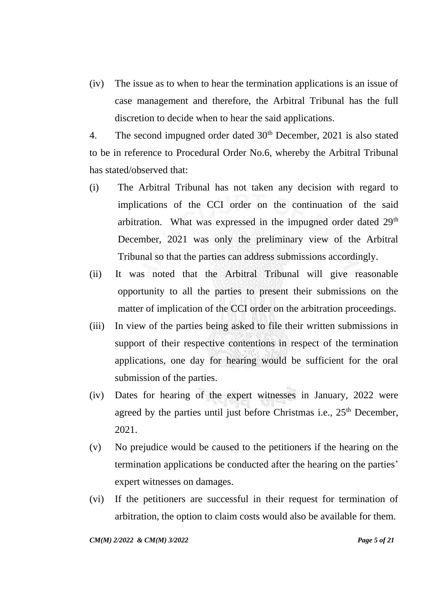(iv) The issue as to when to hear the termination applications is an issue of case management and therefore, the Arbitral Tribunal has the full discretion to decide when to hear the said applications.

4. The second impugned order dated  $30<sup>th</sup>$  December, 2021 is also stated to be in reference to Procedural Order No.6, whereby the Arbitral Tribunal has stated/observed that:

- (i) The Arbitral Tribunal has not taken any decision with regard to implications of the CCI order on the continuation of the said arbitration. What was expressed in the impugned order dated 29<sup>th</sup> December, 2021 was only the preliminary view of the Arbitral Tribunal so that the parties can address submissions accordingly.
- (ii) It was noted that the Arbitral Tribunal will give reasonable opportunity to all the parties to present their submissions on the matter of implication of the CCI order on the arbitration proceedings.
- (iii) In view of the parties being asked to file their written submissions in support of their respective contentions in respect of the termination applications, one day for hearing would be sufficient for the oral submission of the parties.
- (iv) Dates for hearing of the expert witnesses in January, 2022 were agreed by the parties until just before Christmas i.e.,  $25<sup>th</sup>$  December, 2021.
- (v) No prejudice would be caused to the petitioners if the hearing on the termination applications be conducted after the hearing on the parties' expert witnesses on damages.
- (vi) If the petitioners are successful in their request for termination of arbitration, the option to claim costs would also be available for them.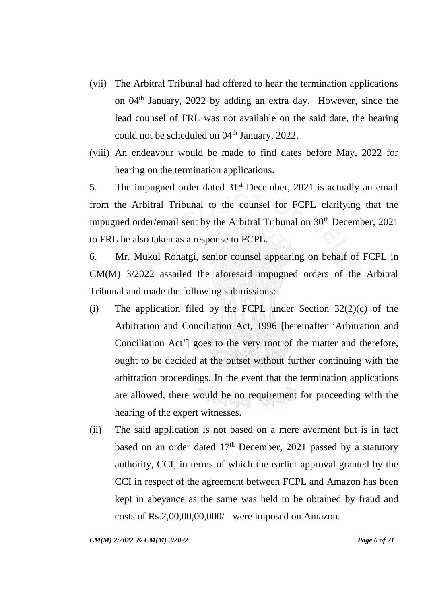- (vii) The Arbitral Tribunal had offered to hear the termination applications on 04th January, 2022 by adding an extra day. However, since the lead counsel of FRL was not available on the said date, the hearing could not be scheduled on 04<sup>th</sup> January, 2022.
- (viii) An endeavour would be made to find dates before May, 2022 for hearing on the termination applications.

5. The impugned order dated  $31<sup>st</sup>$  December, 2021 is actually an email from the Arbitral Tribunal to the counsel for FCPL clarifying that the impugned order/email sent by the Arbitral Tribunal on  $30<sup>th</sup>$  December, 2021 to FRL be also taken as a response to FCPL.

6. Mr. Mukul Rohatgi, senior counsel appearing on behalf of FCPL in CM(M) 3/2022 assailed the aforesaid impugned orders of the Arbitral Tribunal and made the following submissions:

- (i) The application filed by the FCPL under Section  $32(2)(c)$  of the Arbitration and Conciliation Act, 1996 [hereinafter 'Arbitration and Conciliation Act'] goes to the very root of the matter and therefore, ought to be decided at the outset without further continuing with the arbitration proceedings. In the event that the termination applications are allowed, there would be no requirement for proceeding with the hearing of the expert witnesses.
- (ii) The said application is not based on a mere averment but is in fact based on an order dated  $17<sup>th</sup>$  December, 2021 passed by a statutory authority, CCI, in terms of which the earlier approval granted by the CCI in respect of the agreement between FCPL and Amazon has been kept in abeyance as the same was held to be obtained by fraud and costs of Rs.2,00,00,00,000/- were imposed on Amazon.

*CM(M) 2/2022 & CM(M) 3/2022 Page 6 of 21*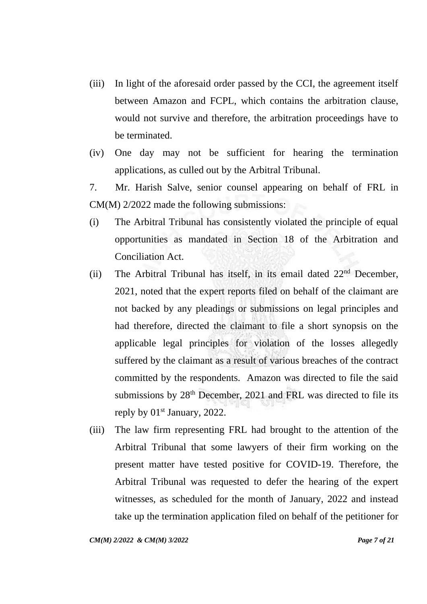- (iii) In light of the aforesaid order passed by the CCI, the agreement itself between Amazon and FCPL, which contains the arbitration clause, would not survive and therefore, the arbitration proceedings have to be terminated.
- (iv) One day may not be sufficient for hearing the termination applications, as culled out by the Arbitral Tribunal.
- 7. Mr. Harish Salve, senior counsel appearing on behalf of FRL in CM(M) 2/2022 made the following submissions:
- (i) The Arbitral Tribunal has consistently violated the principle of equal opportunities as mandated in Section 18 of the Arbitration and Conciliation Act.
- (ii) The Arbitral Tribunal has itself, in its email dated  $22<sup>nd</sup>$  December, 2021, noted that the expert reports filed on behalf of the claimant are not backed by any pleadings or submissions on legal principles and had therefore, directed the claimant to file a short synopsis on the applicable legal principles for violation of the losses allegedly suffered by the claimant as a result of various breaches of the contract committed by the respondents. Amazon was directed to file the said submissions by 28<sup>th</sup> December, 2021 and FRL was directed to file its reply by 01<sup>st</sup> January, 2022.
- (iii) The law firm representing FRL had brought to the attention of the Arbitral Tribunal that some lawyers of their firm working on the present matter have tested positive for COVID-19. Therefore, the Arbitral Tribunal was requested to defer the hearing of the expert witnesses, as scheduled for the month of January, 2022 and instead take up the termination application filed on behalf of the petitioner for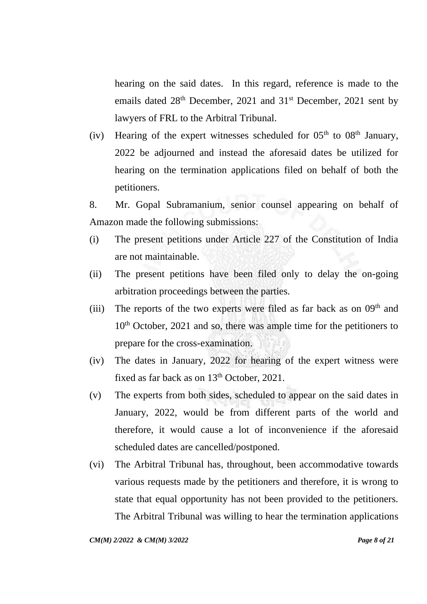hearing on the said dates. In this regard, reference is made to the emails dated 28<sup>th</sup> December, 2021 and 31<sup>st</sup> December, 2021 sent by lawyers of FRL to the Arbitral Tribunal.

(iv) Hearing of the expert witnesses scheduled for  $05<sup>th</sup>$  to  $08<sup>th</sup>$  January, 2022 be adjourned and instead the aforesaid dates be utilized for hearing on the termination applications filed on behalf of both the petitioners.

8. Mr. Gopal Subramanium, senior counsel appearing on behalf of Amazon made the following submissions:

- (i) The present petitions under Article 227 of the Constitution of India are not maintainable.
- (ii) The present petitions have been filed only to delay the on-going arbitration proceedings between the parties.
- (iii) The reports of the two experts were filed as far back as on  $09<sup>th</sup>$  and 10<sup>th</sup> October, 2021 and so, there was ample time for the petitioners to prepare for the cross-examination.
- (iv) The dates in January, 2022 for hearing of the expert witness were fixed as far back as on 13<sup>th</sup> October, 2021.
- (v) The experts from both sides, scheduled to appear on the said dates in January, 2022, would be from different parts of the world and therefore, it would cause a lot of inconvenience if the aforesaid scheduled dates are cancelled/postponed.
- (vi) The Arbitral Tribunal has, throughout, been accommodative towards various requests made by the petitioners and therefore, it is wrong to state that equal opportunity has not been provided to the petitioners. The Arbitral Tribunal was willing to hear the termination applications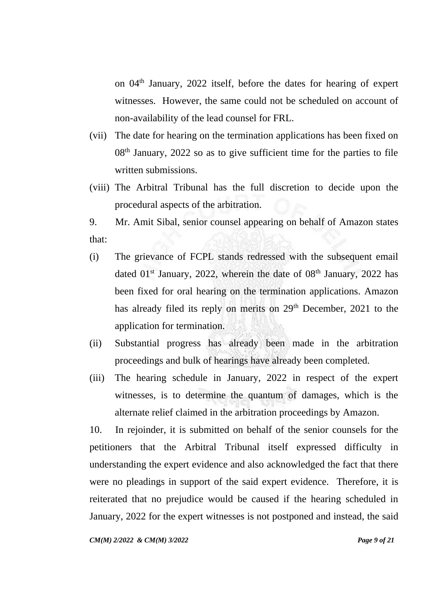on 04th January, 2022 itself, before the dates for hearing of expert witnesses. However, the same could not be scheduled on account of non-availability of the lead counsel for FRL.

- (vii) The date for hearing on the termination applications has been fixed on  $08<sup>th</sup>$  January, 2022 so as to give sufficient time for the parties to file written submissions.
- (viii) The Arbitral Tribunal has the full discretion to decide upon the procedural aspects of the arbitration.

9. Mr. Amit Sibal, senior counsel appearing on behalf of Amazon states that:

- (i) The grievance of FCPL stands redressed with the subsequent email dated  $01<sup>st</sup>$  January, 2022, wherein the date of  $08<sup>th</sup>$  January, 2022 has been fixed for oral hearing on the termination applications. Amazon has already filed its reply on merits on 29<sup>th</sup> December, 2021 to the application for termination.
- (ii) Substantial progress has already been made in the arbitration proceedings and bulk of hearings have already been completed.
- (iii) The hearing schedule in January, 2022 in respect of the expert witnesses, is to determine the quantum of damages, which is the alternate relief claimed in the arbitration proceedings by Amazon.

10. In rejoinder, it is submitted on behalf of the senior counsels for the petitioners that the Arbitral Tribunal itself expressed difficulty in understanding the expert evidence and also acknowledged the fact that there were no pleadings in support of the said expert evidence. Therefore, it is reiterated that no prejudice would be caused if the hearing scheduled in January, 2022 for the expert witnesses is not postponed and instead, the said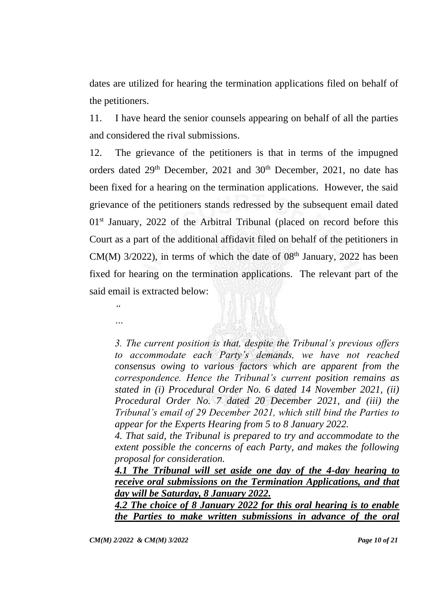dates are utilized for hearing the termination applications filed on behalf of the petitioners.

11. I have heard the senior counsels appearing on behalf of all the parties and considered the rival submissions.

12. The grievance of the petitioners is that in terms of the impugned orders dated 29<sup>th</sup> December, 2021 and 30<sup>th</sup> December, 2021, no date has been fixed for a hearing on the termination applications. However, the said grievance of the petitioners stands redressed by the subsequent email dated  $01<sup>st</sup>$  January, 2022 of the Arbitral Tribunal (placed on record before this Court as a part of the additional affidavit filed on behalf of the petitioners in CM(M)  $3/2022$ ), in terms of which the date of  $08<sup>th</sup>$  January, 2022 has been fixed for hearing on the termination applications. The relevant part of the said email is extracted below:

*3. The current position is that, despite the Tribunal's previous offers to accommodate each Party's demands, we have not reached consensus owing to various factors which are apparent from the correspondence. Hence the Tribunal's current position remains as stated in (i) Procedural Order No. 6 dated 14 November 2021, (ii) Procedural Order No. 7 dated 20 December 2021, and (iii) the Tribunal's email of 29 December 2021, which still bind the Parties to appear for the Experts Hearing from 5 to 8 January 2022.* 

*4. That said, the Tribunal is prepared to try and accommodate to the extent possible the concerns of each Party, and makes the following proposal for consideration.* 

*4.1 The Tribunal will set aside one day of the 4-day hearing to receive oral submissions on the Termination Applications, and that day will be Saturday, 8 January 2022.* 

*4.2 The choice of 8 January 2022 for this oral hearing is to enable the Parties to make written submissions in advance of the oral* 

*"* 

*…*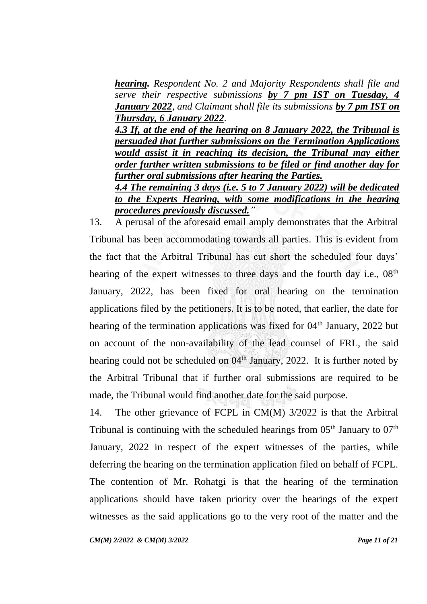*hearing. Respondent No. 2 and Majority Respondents shall file and serve their respective submissions by 7 pm IST on Tuesday, 4 January 2022, and Claimant shall file its submissions by 7 pm IST on Thursday, 6 January 2022.* 

*4.3 If, at the end of the hearing on 8 January 2022, the Tribunal is persuaded that further submissions on the Termination Applications would assist it in reaching its decision, the Tribunal may either order further written submissions to be filed or find another day for further oral submissions after hearing the Parties. 4.4 The remaining 3 days (i.e. 5 to 7 January 2022) will be dedicated* 

*to the Experts Hearing, with some modifications in the hearing procedures previously discussed."*

13. A perusal of the aforesaid email amply demonstrates that the Arbitral Tribunal has been accommodating towards all parties. This is evident from the fact that the Arbitral Tribunal has cut short the scheduled four days' hearing of the expert witnesses to three days and the fourth day i.e.,  $08<sup>th</sup>$ January, 2022, has been fixed for oral hearing on the termination applications filed by the petitioners. It is to be noted, that earlier, the date for hearing of the termination applications was fixed for 04<sup>th</sup> January, 2022 but on account of the non-availability of the lead counsel of FRL, the said hearing could not be scheduled on  $04<sup>th</sup>$  January, 2022. It is further noted by the Arbitral Tribunal that if further oral submissions are required to be made, the Tribunal would find another date for the said purpose.

14. The other grievance of FCPL in CM(M) 3/2022 is that the Arbitral Tribunal is continuing with the scheduled hearings from  $05<sup>th</sup>$  January to  $07<sup>th</sup>$ January, 2022 in respect of the expert witnesses of the parties, while deferring the hearing on the termination application filed on behalf of FCPL. The contention of Mr. Rohatgi is that the hearing of the termination applications should have taken priority over the hearings of the expert witnesses as the said applications go to the very root of the matter and the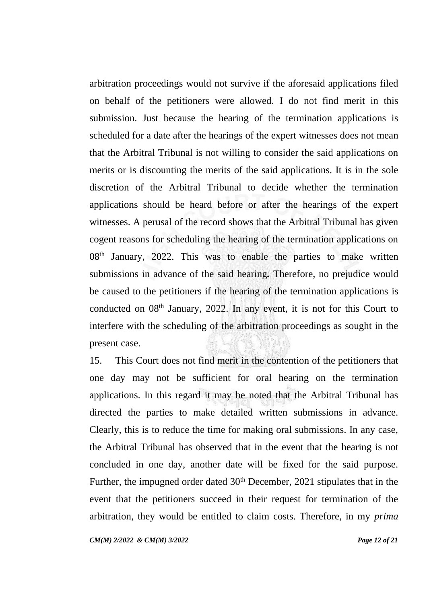arbitration proceedings would not survive if the aforesaid applications filed on behalf of the petitioners were allowed. I do not find merit in this submission. Just because the hearing of the termination applications is scheduled for a date after the hearings of the expert witnesses does not mean that the Arbitral Tribunal is not willing to consider the said applications on merits or is discounting the merits of the said applications. It is in the sole discretion of the Arbitral Tribunal to decide whether the termination applications should be heard before or after the hearings of the expert witnesses. A perusal of the record shows that the Arbitral Tribunal has given cogent reasons for scheduling the hearing of the termination applications on  $08<sup>th</sup>$  January, 2022. This was to enable the parties to make written submissions in advance of the said hearing*.* Therefore, no prejudice would be caused to the petitioners if the hearing of the termination applications is conducted on  $08<sup>th</sup>$  January, 2022. In any event, it is not for this Court to interfere with the scheduling of the arbitration proceedings as sought in the present case.

15. This Court does not find merit in the contention of the petitioners that one day may not be sufficient for oral hearing on the termination applications. In this regard it may be noted that the Arbitral Tribunal has directed the parties to make detailed written submissions in advance. Clearly, this is to reduce the time for making oral submissions. In any case, the Arbitral Tribunal has observed that in the event that the hearing is not concluded in one day, another date will be fixed for the said purpose. Further, the impugned order dated 30<sup>th</sup> December, 2021 stipulates that in the event that the petitioners succeed in their request for termination of the arbitration, they would be entitled to claim costs. Therefore, in my *prima*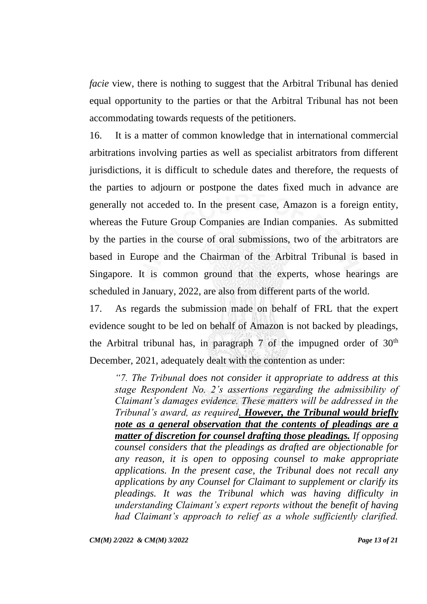*facie* view, there is nothing to suggest that the Arbitral Tribunal has denied equal opportunity to the parties or that the Arbitral Tribunal has not been accommodating towards requests of the petitioners.

16. It is a matter of common knowledge that in international commercial arbitrations involving parties as well as specialist arbitrators from different jurisdictions, it is difficult to schedule dates and therefore, the requests of the parties to adjourn or postpone the dates fixed much in advance are generally not acceded to. In the present case, Amazon is a foreign entity, whereas the Future Group Companies are Indian companies. As submitted by the parties in the course of oral submissions, two of the arbitrators are based in Europe and the Chairman of the Arbitral Tribunal is based in Singapore. It is common ground that the experts, whose hearings are scheduled in January, 2022, are also from different parts of the world.

17. As regards the submission made on behalf of FRL that the expert evidence sought to be led on behalf of Amazon is not backed by pleadings, the Arbitral tribunal has, in paragraph 7 of the impugned order of  $30<sup>th</sup>$ December, 2021, adequately dealt with the contention as under:

*"7. The Tribunal does not consider it appropriate to address at this stage Respondent No. 2's assertions regarding the admissibility of Claimant's damages evidence. These matters will be addressed in the Tribunal's award, as required. However, the Tribunal would briefly note as a general observation that the contents of pleadings are a matter of discretion for counsel drafting those pleadings. If opposing counsel considers that the pleadings as drafted are objectionable for any reason, it is open to opposing counsel to make appropriate applications. In the present case, the Tribunal does not recall any applications by any Counsel for Claimant to supplement or clarify its pleadings. It was the Tribunal which was having difficulty in understanding Claimant's expert reports without the benefit of having had Claimant's approach to relief as a whole sufficiently clarified.* 

*CM(M) 2/2022 & CM(M) 3/2022 Page 13 of 21*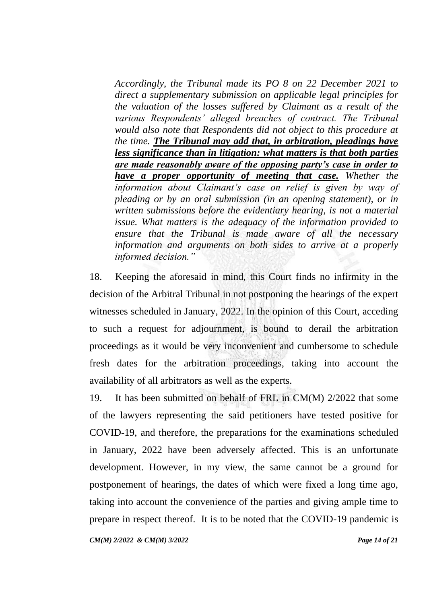*Accordingly, the Tribunal made its PO 8 on 22 December 2021 to direct a supplementary submission on applicable legal principles for the valuation of the losses suffered by Claimant as a result of the various Respondents' alleged breaches of contract. The Tribunal would also note that Respondents did not object to this procedure at the time. The Tribunal may add that, in arbitration, pleadings have less significance than in litigation: what matters is that both parties are made reasonably aware of the opposing party's case in order to have a proper opportunity of meeting that case. Whether the information about Claimant's case on relief is given by way of pleading or by an oral submission (in an opening statement), or in written submissions before the evidentiary hearing, is not a material issue. What matters is the adequacy of the information provided to ensure that the Tribunal is made aware of all the necessary information and arguments on both sides to arrive at a properly informed decision."*

18. Keeping the aforesaid in mind, this Court finds no infirmity in the decision of the Arbitral Tribunal in not postponing the hearings of the expert witnesses scheduled in January, 2022. In the opinion of this Court, acceding to such a request for adjournment, is bound to derail the arbitration proceedings as it would be very inconvenient and cumbersome to schedule fresh dates for the arbitration proceedings, taking into account the availability of all arbitrators as well as the experts.

19. It has been submitted on behalf of FRL in CM(M) 2/2022 that some of the lawyers representing the said petitioners have tested positive for COVID-19, and therefore, the preparations for the examinations scheduled in January, 2022 have been adversely affected. This is an unfortunate development. However, in my view, the same cannot be a ground for postponement of hearings, the dates of which were fixed a long time ago, taking into account the convenience of the parties and giving ample time to prepare in respect thereof. It is to be noted that the COVID-19 pandemic is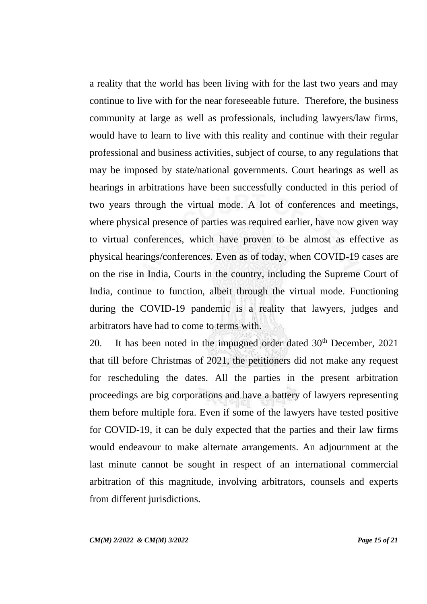a reality that the world has been living with for the last two years and may continue to live with for the near foreseeable future. Therefore, the business community at large as well as professionals, including lawyers/law firms, would have to learn to live with this reality and continue with their regular professional and business activities, subject of course, to any regulations that may be imposed by state/national governments. Court hearings as well as hearings in arbitrations have been successfully conducted in this period of two years through the virtual mode. A lot of conferences and meetings, where physical presence of parties was required earlier, have now given way to virtual conferences, which have proven to be almost as effective as physical hearings/conferences. Even as of today, when COVID-19 cases are on the rise in India, Courts in the country, including the Supreme Court of India, continue to function, albeit through the virtual mode. Functioning during the COVID-19 pandemic is a reality that lawyers, judges and arbitrators have had to come to terms with.

20. It has been noted in the impugned order dated  $30<sup>th</sup>$  December, 2021 that till before Christmas of 2021, the petitioners did not make any request for rescheduling the dates. All the parties in the present arbitration proceedings are big corporations and have a battery of lawyers representing them before multiple fora. Even if some of the lawyers have tested positive for COVID-19, it can be duly expected that the parties and their law firms would endeavour to make alternate arrangements. An adjournment at the last minute cannot be sought in respect of an international commercial arbitration of this magnitude, involving arbitrators, counsels and experts from different jurisdictions.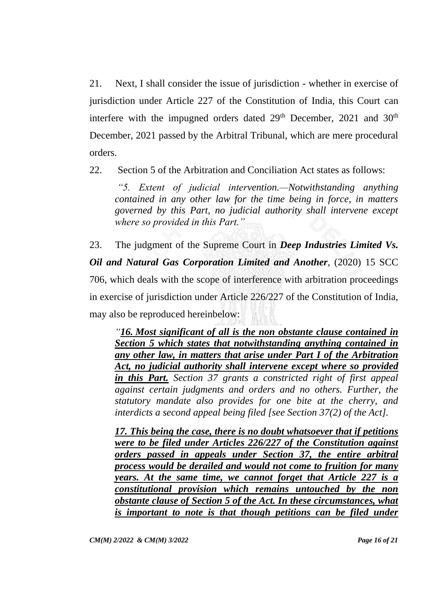21. Next, I shall consider the issue of jurisdiction - whether in exercise of jurisdiction under Article 227 of the Constitution of India, this Court can interfere with the impugned orders dated  $29<sup>th</sup>$  December,  $2021$  and  $30<sup>th</sup>$ December, 2021 passed by the Arbitral Tribunal, which are mere procedural orders.

22. Section 5 of the Arbitration and Conciliation Act states as follows:

*"5. Extent of judicial intervention.—Notwithstanding anything contained in any other law for the time being in force, in matters governed by this Part, no judicial authority shall intervene except where so provided in this Part."*

23. The judgment of the Supreme Court in *Deep Industries Limited Vs. Oil and Natural Gas Corporation Limited and Another*, (2020) 15 SCC 706, which deals with the scope of interference with arbitration proceedings in exercise of jurisdiction under Article 226/227 of the Constitution of India, may also be reproduced hereinbelow:

*"16. Most significant of all is the non obstante clause contained in Section 5 which states that notwithstanding anything contained in any other law, in matters that arise under Part I of the Arbitration Act, no judicial authority shall intervene except where so provided in this Part. Section 37 grants a constricted right of first appeal against certain judgments and orders and no others. Further, the statutory mandate also provides for one bite at the cherry, and interdicts a second appeal being filed [see Section 37(2) of the Act].* 

*17. This being the case, there is no doubt whatsoever that if petitions were to be filed under Articles 226/227 of the Constitution against orders passed in appeals under Section 37, the entire arbitral process would be derailed and would not come to fruition for many years. At the same time, we cannot forget that Article 227 is a constitutional provision which remains untouched by the non obstante clause of Section 5 of the Act. In these circumstances, what is important to note is that though petitions can be filed under*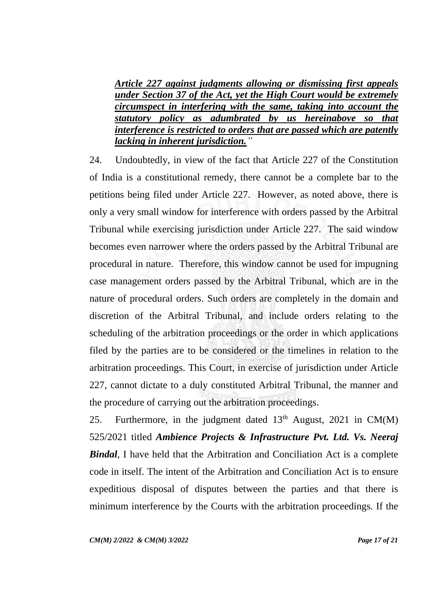*Article 227 against judgments allowing or dismissing first appeals under Section 37 of the Act, yet the High Court would be extremely circumspect in interfering with the same, taking into account the statutory policy as adumbrated by us hereinabove so that interference is restricted to orders that are passed which are patently lacking in inherent jurisdiction."*

24. Undoubtedly, in view of the fact that Article 227 of the Constitution of India is a constitutional remedy, there cannot be a complete bar to the petitions being filed under Article 227. However, as noted above, there is only a very small window for interference with orders passed by the Arbitral Tribunal while exercising jurisdiction under Article 227. The said window becomes even narrower where the orders passed by the Arbitral Tribunal are procedural in nature. Therefore, this window cannot be used for impugning case management orders passed by the Arbitral Tribunal, which are in the nature of procedural orders. Such orders are completely in the domain and discretion of the Arbitral Tribunal, and include orders relating to the scheduling of the arbitration proceedings or the order in which applications filed by the parties are to be considered or the timelines in relation to the arbitration proceedings. This Court, in exercise of jurisdiction under Article 227, cannot dictate to a duly constituted Arbitral Tribunal, the manner and the procedure of carrying out the arbitration proceedings.

25. Furthermore, in the judgment dated  $13<sup>th</sup>$  August, 2021 in CM(M) 525/2021 titled *Ambience Projects & Infrastructure Pvt. Ltd. Vs. Neeraj Bindal*, I have held that the Arbitration and Conciliation Act is a complete code in itself. The intent of the Arbitration and Conciliation Act is to ensure expeditious disposal of disputes between the parties and that there is minimum interference by the Courts with the arbitration proceedings. If the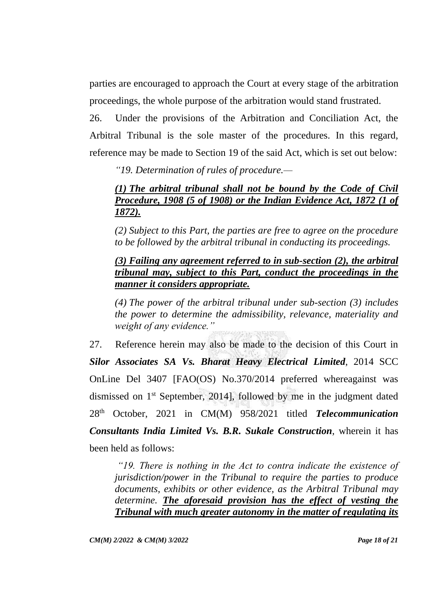parties are encouraged to approach the Court at every stage of the arbitration proceedings, the whole purpose of the arbitration would stand frustrated.

26. Under the provisions of the Arbitration and Conciliation Act, the Arbitral Tribunal is the sole master of the procedures. In this regard, reference may be made to Section 19 of the said Act, which is set out below:

*"19. Determination of rules of procedure.—*

# *[\(1\)](https://indiankanoon.org/doc/1427249/) The arbitral tribunal shall not be bound by the Code of Civil Procedure, 1908 (5 of 1908) or the Indian Evidence Act, 1872 (1 of 1872).*

*[\(2\)](https://indiankanoon.org/doc/1215958/) Subject to this Part, the parties are free to agree on the procedure to be followed by the arbitral tribunal in conducting its proceedings.*

# *[\(3\)](https://indiankanoon.org/doc/1266944/) Failing any agreement referred to in sub-section (2), the arbitral tribunal may, subject to this Part, conduct the proceedings in the manner it considers appropriate.*

*[\(4\)](https://indiankanoon.org/doc/606076/) The power of the arbitral tribunal under sub-section (3) includes the power to determine the admissibility, relevance, materiality and weight of any evidence."*

27. Reference herein may also be made to the decision of this Court in *Silor Associates SA Vs. Bharat Heavy Electrical Limited*, 2014 SCC OnLine Del 3407 [FAO(OS) No.370/2014 preferred whereagainst was dismissed on 1st September, 2014], followed by me in the judgment dated 28th October, 2021 in CM(M) 958/2021 titled *Telecommunication Consultants India Limited Vs. B.R. Sukale Construction*, wherein it has been held as follows:

*"19. There is nothing in the Act to contra indicate the existence of jurisdiction/power in the Tribunal to require the parties to produce documents, exhibits or other evidence, as the Arbitral Tribunal may determine. The aforesaid provision has the effect of vesting the Tribunal with much greater autonomy in the matter of regulating its*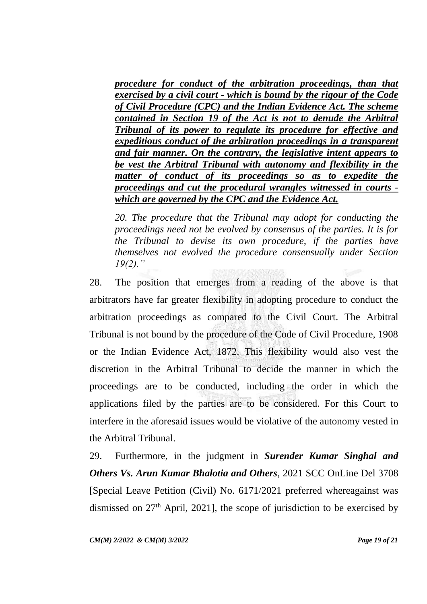*procedure for conduct of the arbitration proceedings, than that exercised by a civil court - which is bound by the rigour of the Code of Civil Procedure (CPC) and the Indian Evidence Act. The scheme contained in Section 19 of the Act is not to denude the Arbitral Tribunal of its power to regulate its procedure for effective and expeditious conduct of the arbitration proceedings in a transparent and fair manner. On the contrary, the legislative intent appears to be vest the Arbitral Tribunal with autonomy and flexibility in the matter of conduct of its proceedings so as to expedite the proceedings and cut the procedural wrangles witnessed in courts which are governed by the CPC and the Evidence Act.*

*20. The procedure that the Tribunal may adopt for conducting the proceedings need not be evolved by consensus of the parties. It is for the Tribunal to devise its own procedure, if the parties have themselves not evolved the procedure consensually under Section 19(2)."* 

28. The position that emerges from a reading of the above is that arbitrators have far greater flexibility in adopting procedure to conduct the arbitration proceedings as compared to the Civil Court. The Arbitral Tribunal is not bound by the procedure of the Code of Civil Procedure, 1908 or the Indian Evidence Act, 1872. This flexibility would also vest the discretion in the Arbitral Tribunal to decide the manner in which the proceedings are to be conducted, including the order in which the applications filed by the parties are to be considered. For this Court to interfere in the aforesaid issues would be violative of the autonomy vested in the Arbitral Tribunal.

29. Furthermore, in the judgment in *Surender Kumar Singhal and Others Vs. Arun Kumar Bhalotia and Others*, 2021 SCC OnLine Del 3708 [Special Leave Petition (Civil) No. 6171/2021 preferred whereagainst was dismissed on  $27<sup>th</sup>$  April, 2021], the scope of jurisdiction to be exercised by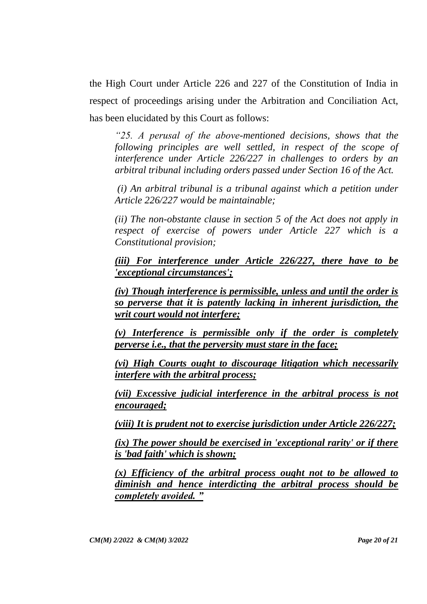the High Court under Article 226 and 227 of the Constitution of India in respect of proceedings arising under the Arbitration and Conciliation Act, has been elucidated by this Court as follows:

*"25. A perusal of the above-mentioned decisions, shows that the following principles are well settled, in respect of the scope of interference under Article 226/227 in challenges to orders by an arbitral tribunal including orders passed under Section 16 of the Act.*

*(i) An arbitral tribunal is a tribunal against which a petition under Article 226/227 would be maintainable;* 

*(ii) The non-obstante clause in section 5 of the Act does not apply in respect of exercise of powers under Article 227 which is a Constitutional provision;* 

*(iii) For interference under Article 226/227, there have to be 'exceptional circumstances';* 

*(iv) Though interference is permissible, unless and until the order is so perverse that it is patently lacking in inherent jurisdiction, the writ court would not interfere;* 

*(v) Interference is permissible only if the order is completely perverse i.e., that the perversity must stare in the face;* 

*(vi) High Courts ought to discourage litigation which necessarily interfere with the arbitral process;* 

*(vii) Excessive judicial interference in the arbitral process is not encouraged;* 

*(viii) It is prudent not to exercise jurisdiction under Article 226/227;* 

*(ix) The power should be exercised in 'exceptional rarity' or if there is 'bad faith' which is shown;*

*(x) Efficiency of the arbitral process ought not to be allowed to diminish and hence interdicting the arbitral process should be completely avoided. "*